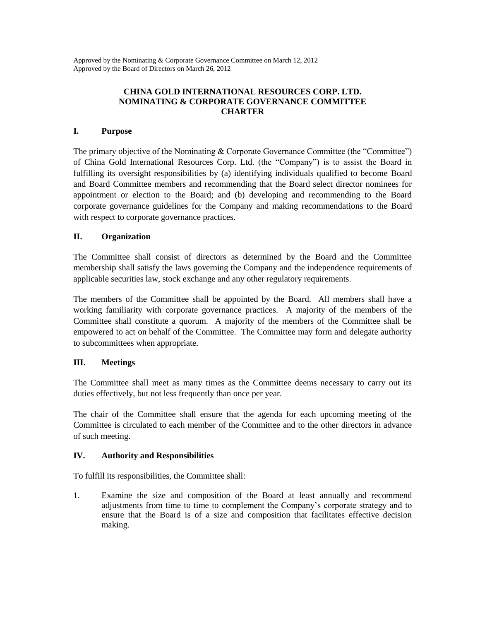Approved by the Nominating & Corporate Governance Committee on March 12, 2012 Approved by the Board of Directors on March 26, 2012

### **CHINA GOLD INTERNATIONAL RESOURCES CORP. LTD. NOMINATING & CORPORATE GOVERNANCE COMMITTEE CHARTER**

#### **I. Purpose**

The primary objective of the Nominating & Corporate Governance Committee (the "Committee") of China Gold International Resources Corp. Ltd. (the "Company") is to assist the Board in fulfilling its oversight responsibilities by (a) identifying individuals qualified to become Board and Board Committee members and recommending that the Board select director nominees for appointment or election to the Board; and (b) developing and recommending to the Board corporate governance guidelines for the Company and making recommendations to the Board with respect to corporate governance practices.

## **II. Organization**

The Committee shall consist of directors as determined by the Board and the Committee membership shall satisfy the laws governing the Company and the independence requirements of applicable securities law, stock exchange and any other regulatory requirements.

The members of the Committee shall be appointed by the Board. All members shall have a working familiarity with corporate governance practices. A majority of the members of the Committee shall constitute a quorum. A majority of the members of the Committee shall be empowered to act on behalf of the Committee. The Committee may form and delegate authority to subcommittees when appropriate.

# **III. Meetings**

The Committee shall meet as many times as the Committee deems necessary to carry out its duties effectively, but not less frequently than once per year.

The chair of the Committee shall ensure that the agenda for each upcoming meeting of the Committee is circulated to each member of the Committee and to the other directors in advance of such meeting.

#### **IV. Authority and Responsibilities**

To fulfill its responsibilities, the Committee shall:

1. Examine the size and composition of the Board at least annually and recommend adjustments from time to time to complement the Company's corporate strategy and to ensure that the Board is of a size and composition that facilitates effective decision making.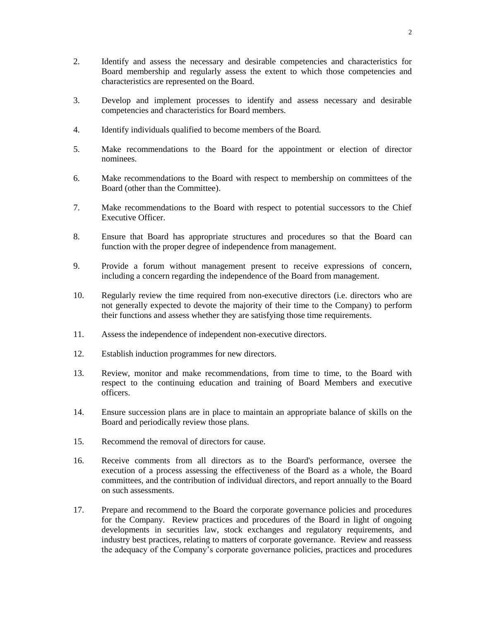- 2. Identify and assess the necessary and desirable competencies and characteristics for Board membership and regularly assess the extent to which those competencies and characteristics are represented on the Board.
- 3. Develop and implement processes to identify and assess necessary and desirable competencies and characteristics for Board members.
- 4. Identify individuals qualified to become members of the Board.
- 5. Make recommendations to the Board for the appointment or election of director nominees.
- 6. Make recommendations to the Board with respect to membership on committees of the Board (other than the Committee).
- 7. Make recommendations to the Board with respect to potential successors to the Chief Executive Officer.
- 8. Ensure that Board has appropriate structures and procedures so that the Board can function with the proper degree of independence from management.
- 9. Provide a forum without management present to receive expressions of concern, including a concern regarding the independence of the Board from management.
- 10. Regularly review the time required from non-executive directors (i.e. directors who are not generally expected to devote the majority of their time to the Company) to perform their functions and assess whether they are satisfying those time requirements.
- 11. Assess the independence of independent non-executive directors.
- 12. Establish induction programmes for new directors.
- 13. Review, monitor and make recommendations, from time to time, to the Board with respect to the continuing education and training of Board Members and executive officers.
- 14. Ensure succession plans are in place to maintain an appropriate balance of skills on the Board and periodically review those plans.
- 15. Recommend the removal of directors for cause.
- 16. Receive comments from all directors as to the Board's performance, oversee the execution of a process assessing the effectiveness of the Board as a whole, the Board committees, and the contribution of individual directors, and report annually to the Board on such assessments.
- 17. Prepare and recommend to the Board the corporate governance policies and procedures for the Company. Review practices and procedures of the Board in light of ongoing developments in securities law, stock exchanges and regulatory requirements, and industry best practices, relating to matters of corporate governance. Review and reassess the adequacy of the Company's corporate governance policies, practices and procedures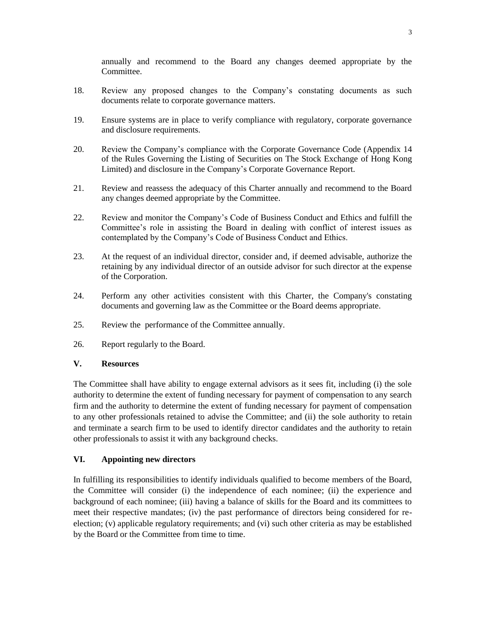annually and recommend to the Board any changes deemed appropriate by the Committee.

- 18. Review any proposed changes to the Company's constating documents as such documents relate to corporate governance matters.
- 19. Ensure systems are in place to verify compliance with regulatory, corporate governance and disclosure requirements.
- 20. Review the Company's compliance with the Corporate Governance Code (Appendix 14 of the Rules Governing the Listing of Securities on The Stock Exchange of Hong Kong Limited) and disclosure in the Company's Corporate Governance Report.
- 21. Review and reassess the adequacy of this Charter annually and recommend to the Board any changes deemed appropriate by the Committee.
- 22. Review and monitor the Company's Code of Business Conduct and Ethics and fulfill the Committee's role in assisting the Board in dealing with conflict of interest issues as contemplated by the Company's Code of Business Conduct and Ethics.
- 23. At the request of an individual director, consider and, if deemed advisable, authorize the retaining by any individual director of an outside advisor for such director at the expense of the Corporation.
- 24. Perform any other activities consistent with this Charter, the Company's constating documents and governing law as the Committee or the Board deems appropriate.
- 25. Review the performance of the Committee annually.
- 26. Report regularly to the Board.

## **V. Resources**

The Committee shall have ability to engage external advisors as it sees fit, including (i) the sole authority to determine the extent of funding necessary for payment of compensation to any search firm and the authority to determine the extent of funding necessary for payment of compensation to any other professionals retained to advise the Committee; and (ii) the sole authority to retain and terminate a search firm to be used to identify director candidates and the authority to retain other professionals to assist it with any background checks.

# **VI. Appointing new directors**

In fulfilling its responsibilities to identify individuals qualified to become members of the Board, the Committee will consider (i) the independence of each nominee; (ii) the experience and background of each nominee; (iii) having a balance of skills for the Board and its committees to meet their respective mandates; (iv) the past performance of directors being considered for reelection; (v) applicable regulatory requirements; and (vi) such other criteria as may be established by the Board or the Committee from time to time.